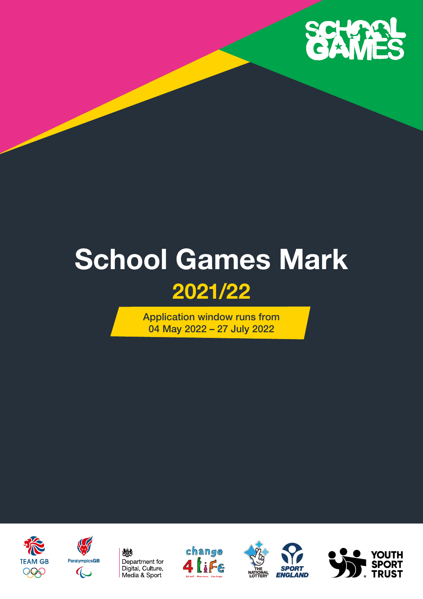

# **School Games Mark 2021/22**

Application window runs from 04 May 2022 – 27 July 2022











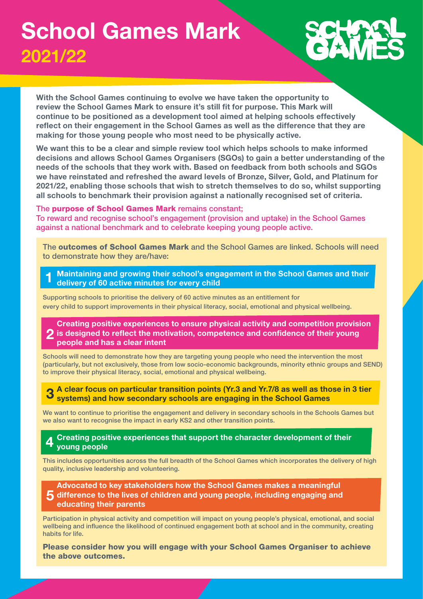### **School Games Mark 2021/22**

**With the School Games continuing to evolve we have taken the opportunity to review the School Games Mark to ensure it's still fit for purpose. This Mark will continue to be positioned as a development tool aimed at helping schools effectively reflect on their engagement in the School Games as well as the difference that they are making for those young people who most need to be physically active.** 

**We want this to be a clear and simple review tool which helps schools to make informed decisions and allows School Games Organisers (SGOs) to gain a better understanding of the needs of the schools that they work with. Based on feedback from both schools and SGOs we have reinstated and refreshed the award levels of Bronze, Silver, Gold, and Platinum for 2021/22, enabling those schools that wish to stretch themselves to do so, whilst supporting all schools to benchmark their provision against a nationally recognised set of criteria.**

#### The purpose of School Games Mark remains constant;

To reward and recognise school's engagement (provision and uptake) in the School Games against a national benchmark and to celebrate keeping young people active.

The outcomes of School Games Mark and the School Games are linked. Schools will need to demonstrate how they are/have:

**1 Maintaining and growing their school's engagement in the School Games and their delivery of 60 active minutes for every child** 

Supporting schools to prioritise the delivery of 60 active minutes as an entitlement for every child to support improvements in their physical literacy, social, emotional and physical wellbeing.

#### **2 Creating positive experiences to ensure physical activity and competition provision is designed to reflect the motivation, competence and confidence of their young people and has a clear intent**

Schools will need to demonstrate how they are targeting young people who need the intervention the most (particularly, but not exclusively, those from low socio-economic backgrounds, minority ethnic groups and SEND) to improve their physical literacy, social, emotional and physical wellbeing.

**3 A clear focus on particular transition points (Yr.3 and Yr.7/8 as well as those in 3 tier systems) and how secondary schools are engaging in the School Games** 

We want to continue to prioritise the engagement and delivery in secondary schools in the Schools Games but we also want to recognise the impact in early KS2 and other transition points.

#### **4 Creating positive experiences that support the character development of their young people**

This includes opportunities across the full breadth of the School Games which incorporates the delivery of high quality, inclusive leadership and volunteering.

**5 difference to the lives of children and young people, including engaging and Advocated to key stakeholders how the School Games makes a meaningful educating their parents** 

Participation in physical activity and competition will impact on young people's physical, emotional, and social wellbeing and influence the likelihood of continued engagement both at school and in the community, creating habits for life.

Please consider how you will engage with your School Games Organiser to achieve the above outcomes.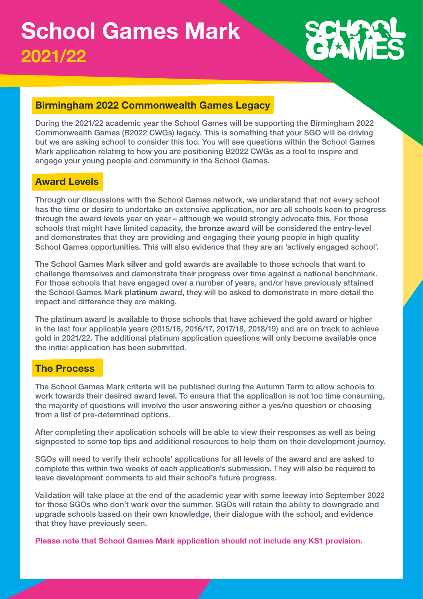### **Birmingham 2022 Commonwealth Games Legacy**

During the 2021/22 academic year the School Games will be supporting the Birmingham 2022 Commonwealth Games (B2022 CWGs) legacy. This is something that your SGO will be driving but we are asking school to consider this too. You will see questions within the School Games Mark application relating to how you are positioning B2022 CWGs as a tool to inspire and engage your young people and community in the School Games.

### **Award Levels**

Through our discussions with the School Games network, we understand that not every school has the time or desire to undertake an extensive application, nor are all schools keen to progress through the award levels year on year – although we would strongly advocate this. For those schools that might have limited capacity, the **bronze** award will be considered the entry-level and demonstrates that they are providing and engaging their young people in high quality School Games opportunities. This will also evidence that they are an 'actively engaged school'.

The School Games Mark **silver** and **gold** awards are available to those schools that want to challenge themselves and demonstrate their progress over time against a national benchmark. For those schools that have engaged over a number of years, and/or have previously attained the School Games Mark **platinum** award, they will be asked to demonstrate in more detail the impact and difference they are making.

The platinum award is available to those schools that have achieved the gold award or higher in the last four applicable years (2015/16, 2016/17, 2017/18, 2018/19) and are on track to achieve gold in 2021/22. The additional platinum application questions will only become available once the initial application has been submitted.

### **The Process**

The School Games Mark criteria will be published during the Autumn Term to allow schools to work towards their desired award level. To ensure that the application is not too time consuming, the majority of questions will involve the user answering either a yes/no question or choosing from a list of pre-determined options.

After completing their application schools will be able to view their responses as well as being signposted to some top tips and additional resources to help them on their development journey.

SGOs will need to verify their schools' applications for all levels of the award and are asked to complete this within two weeks of each application's submission. They will also be required to leave development comments to aid their school's future progress.

Validation will take place at the end of the academic year with some leeway into September 2022 for those SGOs who don't work over the summer. SGOs will retain the ability to downgrade and upgrade schools based on their own knowledge, their dialogue with the school, and evidence that they have previously seen.

**Please note that School Games Mark application should not include any KS1 provision.**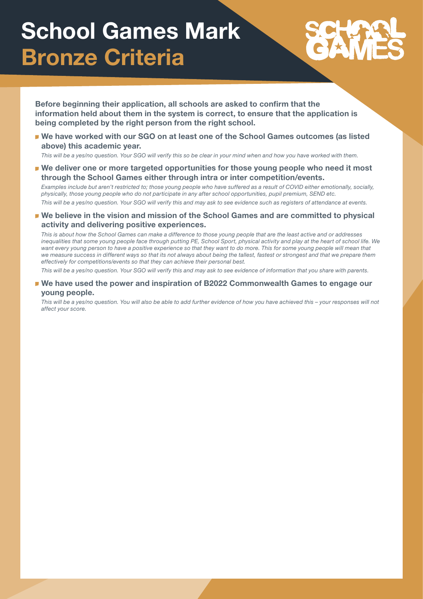# **School Games Mark Bronze Criteria**

**Before beginning their application, all schools are asked to confirm that the information held about them in the system is correct, to ensure that the application is being completed by the right person from the right school.**

**We have worked with our SGO on at least one of the School Games outcomes (as listed above) this academic year.**

*This will be a yes/no question. Your SGO will verify this so be clear in your mind when and how you have worked with them.*

**We deliver one or more targeted opportunities for those young people who need it most through the School Games either through intra or inter competition/events.**

*Examples include but aren't restricted to; those young people who have suffered as a result of COVID either emotionally, socially, physically, those young people who do not participate in any after school opportunities, pupil premium, SEND etc.*

*This will be a yes/no question. Your SGO will verify this and may ask to see evidence such as registers of attendance at events.*

**We believe in the vision and mission of the School Games and are committed to physical activity and delivering positive experiences.**

*This is about how the School Games can make a difference to those young people that are the least active and or addresses inequalities that some young people face through putting PE, School Sport, physical activity and play at the heart of school life. We*  want every young person to have a positive experience so that they want to do more. This for some young people will mean that *we measure success in different ways so that its not always about being the tallest, fastest or strongest and that we prepare them effectively for competitions/events so that they can achieve their personal best.*

*This will be a yes/no question. Your SGO will verify this and may ask to see evidence of information that you share with parents.*

**We have used the power and inspiration of B2022 Commonwealth Games to engage our young people.**

*This will be a yes/no question. You will also be able to add further evidence of how you have achieved this – your responses will not affect your score.*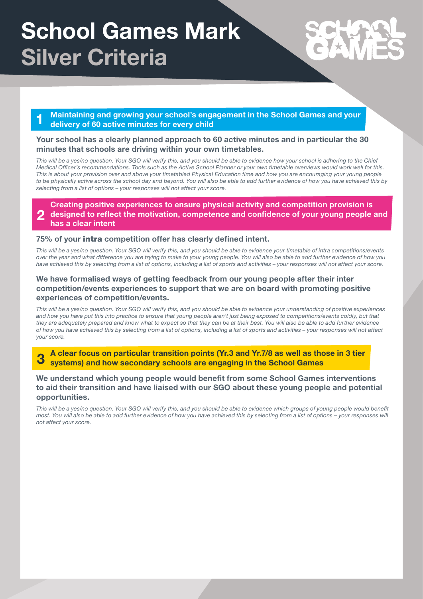# **School Games Mark Silver Criteria**

**1 Maintaining and growing your school's engagement in the School Games and your delivery of 60 active minutes for every child** 

#### **Your school has a clearly planned approach to 60 active minutes and in particular the 30 minutes that schools are driving within your own timetables.**

This will be a yes/no question. Your SGO will verify this, and you should be able to evidence how your school is adhering to the Chief *Medical Officer's recommendations. Tools such as the Active School Planner or your own timetable overviews would work well for this. This is about your provision over and above your timetabled Physical Education time and how you are encouraging your young people to be physically active across the school day and beyond. You will also be able to add further evidence of how you have achieved this by selecting from a list of options – your responses will not affect your score.*

**2 Creating positive experiences to ensure physical activity and competition provision is designed to reflect the motivation, competence and confidence of your young people and has a clear intent** 

#### **75% of your** intra **competition offer has clearly defined intent.**

*This will be a yes/no question. Your SGO will verify this, and you should be able to evidence your timetable of intra competitions/events over the year and what difference you are trying to make to your young people. You will also be able to add further evidence of how you have achieved this by selecting from a list of options, including a list of sports and activities – your responses will not affect your score.*

#### **We have formalised ways of getting feedback from our young people after their inter competition/events experiences to support that we are on board with promoting positive experiences of competition/events.**

*This will be a yes/no question. Your SGO will verify this, and you should be able to evidence your understanding of positive experiences*  and how you have put this into practice to ensure that young people aren't just being exposed to competitions/events coldly, but that *they are adequately prepared and know what to expect so that they can be at their best. You will also be able to add further evidence of how you have achieved this by selecting from a list of options, including a list of sports and activities – your responses will not affect your score.*

**3 A clear focus on particular transition points (Yr.3 and Yr.7/8 as well as those in 3 tier systems) and how secondary schools are engaging in the School Games** 

**We understand which young people would benefit from some School Games interventions to aid their transition and have liaised with our SGO about these young people and potential opportunities.**

This will be a yes/no question. Your SGO will verify this, and you should be able to evidence which groups of young people would benefit *most. You will also be able to add further evidence of how you have achieved this by selecting from a list of options – your responses will not affect your score.*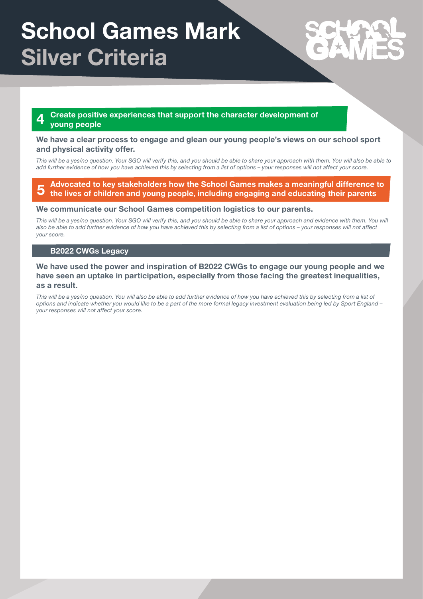# **School Games Mark Silver Criteria**

#### **4 Create positive experiences that support the character development of young people**

#### **We have a clear process to engage and glean our young people's views on our school sport and physical activity offer.**

*This will be a yes/no question. Your SGO will verify this, and you should be able to share your approach with them. You will also be able to add further evidence of how you have achieved this by selecting from a list of options – your responses will not affect your score.*

#### **5 Advocated to key stakeholders how the School Games makes a meaningful difference to the lives of children and young people, including engaging and educating their parents**

#### **We communicate our School Games competition logistics to our parents.**

This will be a yes/no question. Your SGO will verify this, and you should be able to share your approach and evidence with them. You will *also be able to add further evidence of how you have achieved this by selecting from a list of options – your responses will not affect your score.*

#### **B2022 CWGs Legacy**

#### **We have used the power and inspiration of B2022 CWGs to engage our young people and we have seen an uptake in participation, especially from those facing the greatest inequalities, as a result.**

This will be a yes/no question. You will also be able to add further evidence of how you have achieved this by selecting from a list of *options and indicate whether you would like to be a part of the more formal legacy investment evaluation being led by Sport England – your responses will not affect your score.*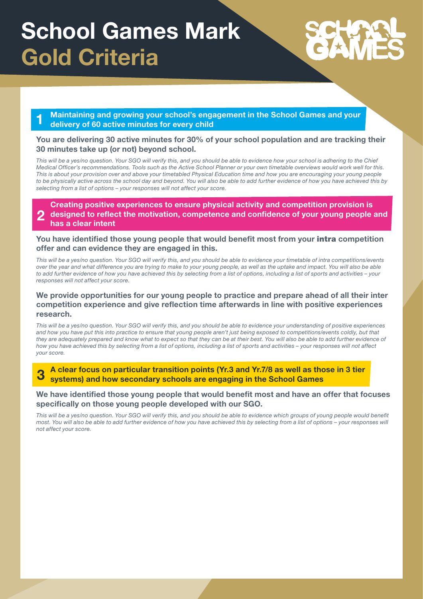# **School Games Mark Gold Criteria**

**1 Maintaining and growing your school's engagement in the School Games and your delivery of 60 active minutes for every child** 

### **You are delivering 30 active minutes for 30% of your school population and are tracking their 30 minutes take up (or not) beyond school.**

This will be a yes/no question. Your SGO will verify this, and you should be able to evidence how your school is adhering to the Chief *Medical Officer's recommendations. Tools such as the Active School Planner or your own timetable overviews would work well for this. This is about your provision over and above your timetabled Physical Education time and how you are encouraging your young people to be physically active across the school day and beyond. You will also be able to add further evidence of how you have achieved this by selecting from a list of options – your responses will not affect your score.*

**2 Creating positive experiences to ensure physical activity and competition provision is designed to reflect the motivation, competence and confidence of your young people and has a clear intent** 

#### **You have identified those young people that would benefit most from your** intra **competition offer and can evidence they are engaged in this.**

*This will be a yes/no question. Your SGO will verify this, and you should be able to evidence your timetable of intra competitions/events over the year and what difference you are trying to make to your young people, as well as the uptake and impact. You will also be able to add further evidence of how you have achieved this by selecting from a list of options, including a list of sports and activities – your responses will not affect your score.*

#### **We provide opportunities for our young people to practice and prepare ahead of all their inter competition experience and give reflection time afterwards in line with positive experiences research.**

*This will be a yes/no question. Your SGO will verify this, and you should be able to evidence your understanding of positive experiences*  and how you have put this into practice to ensure that young people aren't just being exposed to competitions/events coldly, but that *they are adequately prepared and know what to expect so that they can be at their best. You will also be able to add further evidence of how you have achieved this by selecting from a list of options, including a list of sports and activities – your responses will not affect your score.*

**3 A clear focus on particular transition points (Yr.3 and Yr.7/8 as well as those in 3 tier systems) and how secondary schools are engaging in the School Games** 

#### **We have identified those young people that would benefit most and have an offer that focuses specifically on those young people developed with our SGO.**

This will be a yes/no question. Your SGO will verify this, and you should be able to evidence which groups of young people would benefit *most. You will also be able to add further evidence of how you have achieved this by selecting from a list of options – your responses will not affect your score.*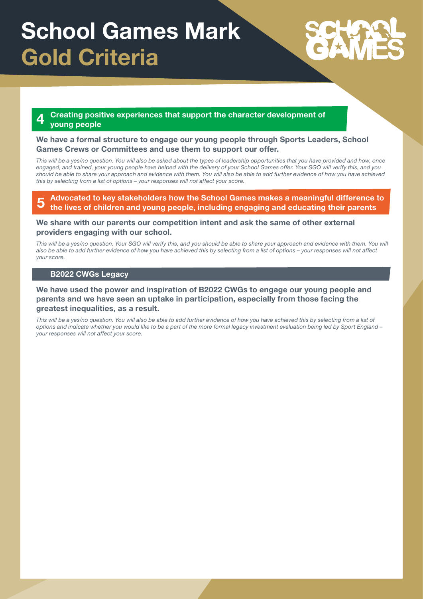# **School Games Mark Gold Criteria**

### **4 Creating positive experiences that support the character development of young people**

#### **We have a formal structure to engage our young people through Sports Leaders, School Games Crews or Committees and use them to support our offer.**

*This will be a yes/no question. You will also be asked about the types of leadership opportunities that you have provided and how, once engaged, and trained, your young people have helped with the delivery of your School Games offer. Your SGO will verify this, and you should be able to share your approach and evidence with them. You will also be able to add further evidence of how you have achieved this by selecting from a list of options – your responses will not affect your score.*

**5 Advocated to key stakeholders how the School Games makes a meaningful difference to the lives of children and young people, including engaging and educating their parents** 

#### **We share with our parents our competition intent and ask the same of other external providers engaging with our school.**

This will be a yes/no question. Your SGO will verify this, and you should be able to share your approach and evidence with them. You will *also be able to add further evidence of how you have achieved this by selecting from a list of options – your responses will not affect your score.*

#### **B2022 CWGs Legacy**

#### **We have used the power and inspiration of B2022 CWGs to engage our young people and parents and we have seen an uptake in participation, especially from those facing the greatest inequalities, as a result.**

This will be a yes/no question. You will also be able to add further evidence of how you have achieved this by selecting from a list of *options and indicate whether you would like to be a part of the more formal legacy investment evaluation being led by Sport England – your responses will not affect your score.*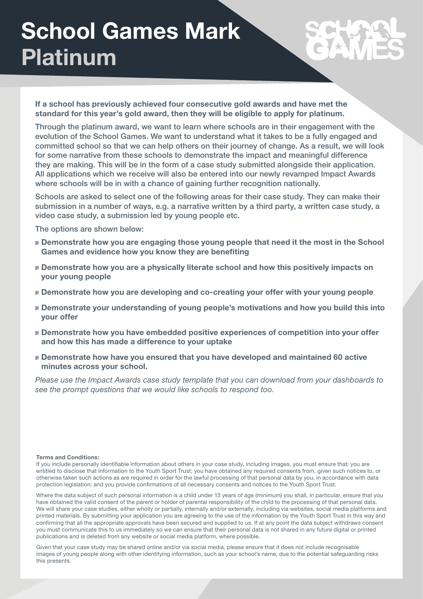# **School Games Mark Platinum**

**If a school has previously achieved four consecutive gold awards and have met the standard for this year's gold award, then they will be eligible to apply for platinum.**

Through the platinum award, we want to learn where schools are in their engagement with the evolution of the School Games. We want to understand what it takes to be a fully engaged and committed school so that we can help others on their journey of change. As a result, we will look for some narrative from these schools to demonstrate the impact and meaningful difference they are making. This will be in the form of a case study submitted alongside their application. All applications which we receive will also be entered into our newly revamped Impact Awards where schools will be in with a chance of gaining further recognition nationally.

Schools are asked to select one of the following areas for their case study. They can make their submission in a number of ways, e.g. a narrative written by a third party, a written case study, a video case study, a submission led by young people etc.

The options are shown below:

- **Demonstrate how you are engaging those young people that need it the most in the School Games and evidence how you know they are benefiting**
- **Demonstrate how you are a physically literate school and how this positively impacts on your young people**
- **Demonstrate how you are developing and co-creating your offer with your young people**
- **Demonstrate your understanding of young people's motivations and how you build this into your offer**
- **Demonstrate how you have embedded positive experiences of competition into your offer and how this has made a difference to your uptake**
- **Demonstrate how have you ensured that you have developed and maintained 60 active minutes across your school.**

*Please use the Impact Awards case study template that you can download from your dashboards to see the prompt questions that we would like schools to respond too.*

#### **Terms and Conditions:**

If you include personally identifiable information about others in your case study, including images, you must ensure that: you are entitled to disclose that information to the Youth Sport Trust; you have obtained any required consents from, given such notices to, or otherwise taken such actions as are required in order for the lawful processing of that personal data by you, in accordance with data protection legislation; and you provide confirmations of all necessary consents and notices to the Youth Sport Trust.

Where the data subject of such personal information is a child under 13 years of age (minimum) you shall, in particular, ensure that you have obtained the valid consent of the parent or holder of parental responsibility of the child to the processing of that personal data. We will share your case studies, either wholly or partially, internally and/or externally, including via websites, social media platforms and printed materials. By submitting your application you are agreeing to the use of the information by the Youth Sport Trust in this way and confirming that all the appropriate approvals have been secured and supplied to us. If at any point the data subject withdraws consent you must communicate this to us immediately so we can ensure that their personal data is not shared in any future digital or printed publications and is deleted from any website or social media platform, where possible.

Given that your case study may be shared online and/or via social media, please ensure that it does not include recognisable images of young people along with other identifying information, such as your school's name, due to the potential safeguarding risks this presents.